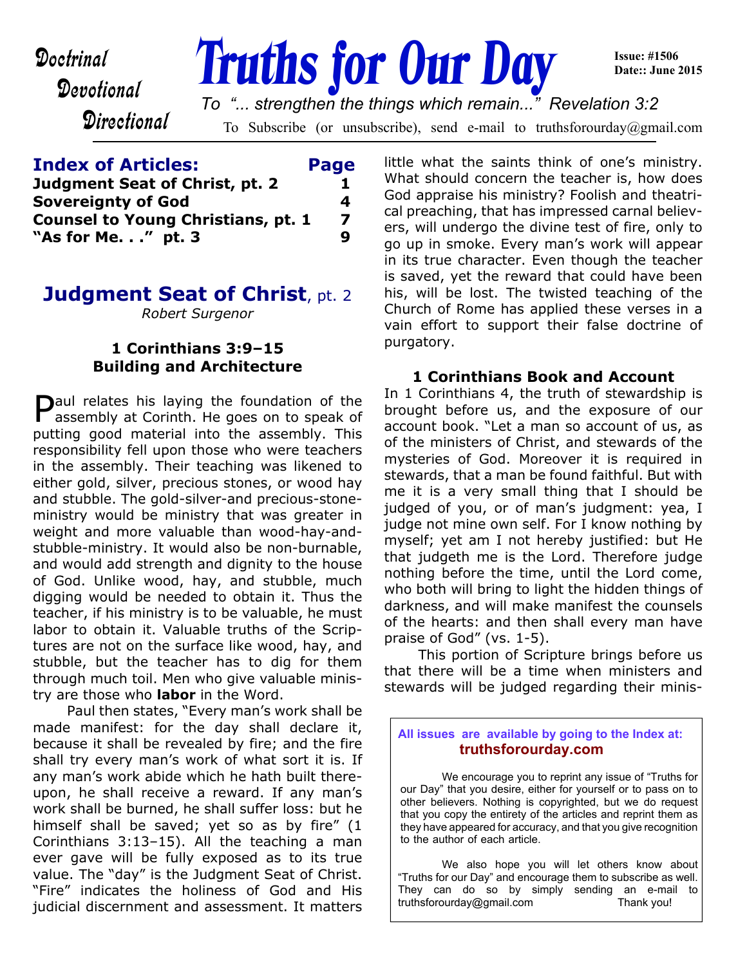Devotional

# **Doctrinal Pruths for Our Day**

**Date:: June 2015**

**Issue: #1506**

**Directional** 

To Subscribe (or unsubscribe), send e-mail to truthsforourday@gmail.com *To "... strengthen the things which remain..." Revelation 3:2*

### **Index of Articles: Page Judgment Seat of Christ, pt. 2** 1 **Sovereignty of God 4 Counsel to Young Christians, pt. 1 7 "As for Me. . ." pt. 3 9**

# **Judgment Seat of Christ**, pt. 2

*Robert Surgenor*

### **1 Corinthians 3:9–15 Building and Architecture**

**P** aul relates his laying the foundation of the assembly at Corinth. He goes on to speak of  $\bigcap$  aul relates his laying the foundation of the putting good material into the assembly. This responsibility fell upon those who were teachers in the assembly. Their teaching was likened to either gold, silver, precious stones, or wood hay and stubble. The gold-silver-and precious-stoneministry would be ministry that was greater in weight and more valuable than wood-hay-andstubble-ministry. It would also be non-burnable, and would add strength and dignity to the house of God. Unlike wood, hay, and stubble, much digging would be needed to obtain it. Thus the teacher, if his ministry is to be valuable, he must labor to obtain it. Valuable truths of the Scriptures are not on the surface like wood, hay, and stubble, but the teacher has to dig for them through much toil. Men who give valuable ministry are those who **labor** in the Word.

 Paul then states, "Every man's work shall be made manifest: for the day shall declare it, because it shall be revealed by fire; and the fire shall try every man's work of what sort it is. If any man's work abide which he hath built thereupon, he shall receive a reward. If any man's work shall be burned, he shall suffer loss: but he himself shall be saved; yet so as by fire" (1 Corinthians 3:13–15). All the teaching a man ever gave will be fully exposed as to its true value. The "day" is the Judgment Seat of Christ. "Fire" indicates the holiness of God and His judicial discernment and assessment. It matters little what the saints think of one's ministry. What should concern the teacher is, how does God appraise his ministry? Foolish and theatrical preaching, that has impressed carnal believers, will undergo the divine test of fire, only to go up in smoke. Every man's work will appear in its true character. Even though the teacher is saved, yet the reward that could have been his, will be lost. The twisted teaching of the Church of Rome has applied these verses in a vain effort to support their false doctrine of purgatory.

#### **1 Corinthians Book and Account**

In 1 Corinthians 4, the truth of stewardship is brought before us, and the exposure of our account book. "Let a man so account of us, as of the ministers of Christ, and stewards of the mysteries of God. Moreover it is required in stewards, that a man be found faithful. But with me it is a very small thing that I should be judged of you, or of man's judgment: yea, I judge not mine own self. For I know nothing by myself; yet am I not hereby justified: but He that judgeth me is the Lord. Therefore judge nothing before the time, until the Lord come, who both will bring to light the hidden things of darkness, and will make manifest the counsels of the hearts: and then shall every man have praise of God" (vs. 1-5).

 This portion of Scripture brings before us that there will be a time when ministers and stewards will be judged regarding their minis-

**All issues are available by going to the Index at: truthsforourday.com**

 We encourage you to reprint any issue of "Truths for our Day" that you desire, either for yourself or to pass on to other believers. Nothing is copyrighted, but we do request that you copy the entirety of the articles and reprint them as they have appeared for accuracy, and that you give recognition to the author of each article.

 We also hope you will let others know about "Truths for our Day" and encourage them to subscribe as well. They can do so by simply sending an e-mail to truthsforourday@gmail.com Thank you!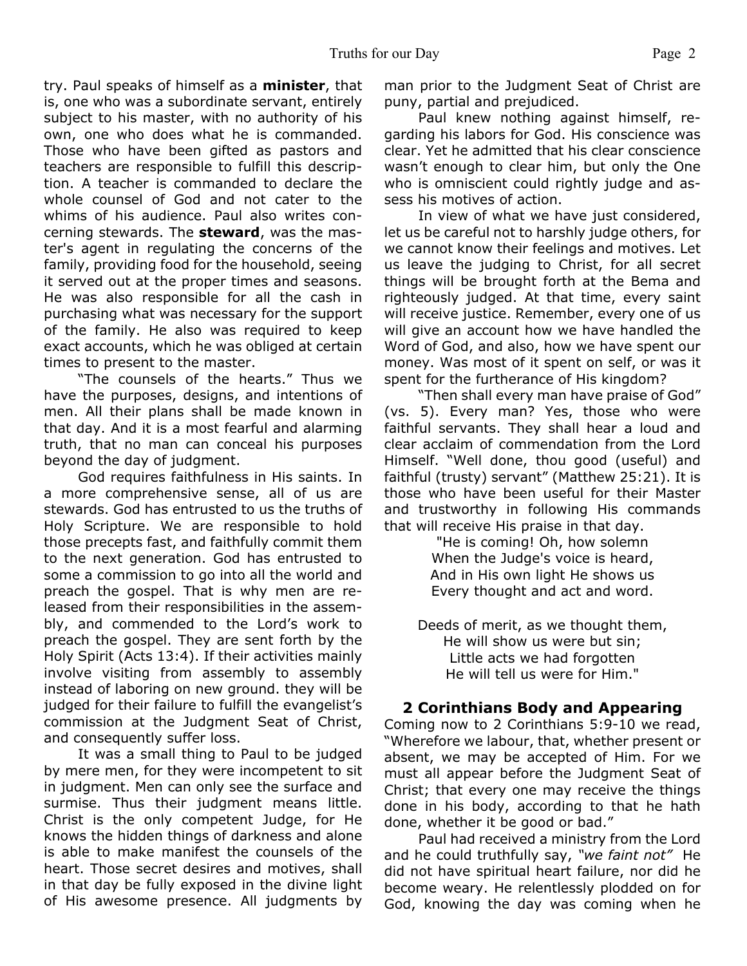try. Paul speaks of himself as a **minister**, that is, one who was a subordinate servant, entirely subject to his master, with no authority of his own, one who does what he is commanded. Those who have been gifted as pastors and teachers are responsible to fulfill this description. A teacher is commanded to declare the whole counsel of God and not cater to the whims of his audience. Paul also writes concerning stewards. The **steward**, was the master's agent in regulating the concerns of the family, providing food for the household, seeing it served out at the proper times and seasons. He was also responsible for all the cash in purchasing what was necessary for the support of the family. He also was required to keep exact accounts, which he was obliged at certain times to present to the master.

"The counsels of the hearts." Thus we have the purposes, designs, and intentions of men. All their plans shall be made known in that day. And it is a most fearful and alarming truth, that no man can conceal his purposes beyond the day of judgment.

 God requires faithfulness in His saints. In a more comprehensive sense, all of us are stewards. God has entrusted to us the truths of Holy Scripture. We are responsible to hold those precepts fast, and faithfully commit them to the next generation. God has entrusted to some a commission to go into all the world and preach the gospel. That is why men are released from their responsibilities in the assembly, and commended to the Lord's work to preach the gospel. They are sent forth by the Holy Spirit (Acts 13:4). If their activities mainly involve visiting from assembly to assembly instead of laboring on new ground. they will be judged for their failure to fulfill the evangelist's commission at the Judgment Seat of Christ, and consequently suffer loss.

 It was a small thing to Paul to be judged by mere men, for they were incompetent to sit in judgment. Men can only see the surface and surmise. Thus their judgment means little. Christ is the only competent Judge, for He knows the hidden things of darkness and alone is able to make manifest the counsels of the heart. Those secret desires and motives, shall in that day be fully exposed in the divine light of His awesome presence. All judgments by man prior to the Judgment Seat of Christ are puny, partial and prejudiced.

 Paul knew nothing against himself, regarding his labors for God. His conscience was clear. Yet he admitted that his clear conscience wasn't enough to clear him, but only the One who is omniscient could rightly judge and assess his motives of action.

 In view of what we have just considered, let us be careful not to harshly judge others, for we cannot know their feelings and motives. Let us leave the judging to Christ, for all secret things will be brought forth at the Bema and righteously judged. At that time, every saint will receive justice. Remember, every one of us will give an account how we have handled the Word of God, and also, how we have spent our money. Was most of it spent on self, or was it spent for the furtherance of His kingdom?

 "Then shall every man have praise of God" (vs. 5). Every man? Yes, those who were faithful servants. They shall hear a loud and clear acclaim of commendation from the Lord Himself. "Well done, thou good (useful) and faithful (trusty) servant" (Matthew 25:21). It is those who have been useful for their Master and trustworthy in following His commands that will receive His praise in that day.

> "He is coming! Oh, how solemn When the Judge's voice is heard, And in His own light He shows us Every thought and act and word.

Deeds of merit, as we thought them, He will show us were but sin; Little acts we had forgotten He will tell us were for Him."

### **2 Corinthians Body and Appearing**

Coming now to 2 Corinthians 5:9-10 we read, "Wherefore we labour, that, whether present or absent, we may be accepted of Him. For we must all appear before the Judgment Seat of Christ; that every one may receive the things done in his body, according to that he hath done, whether it be good or bad."

 Paul had received a ministry from the Lord and he could truthfully say, *"we faint not"* He did not have spiritual heart failure, nor did he become weary. He relentlessly plodded on for God, knowing the day was coming when he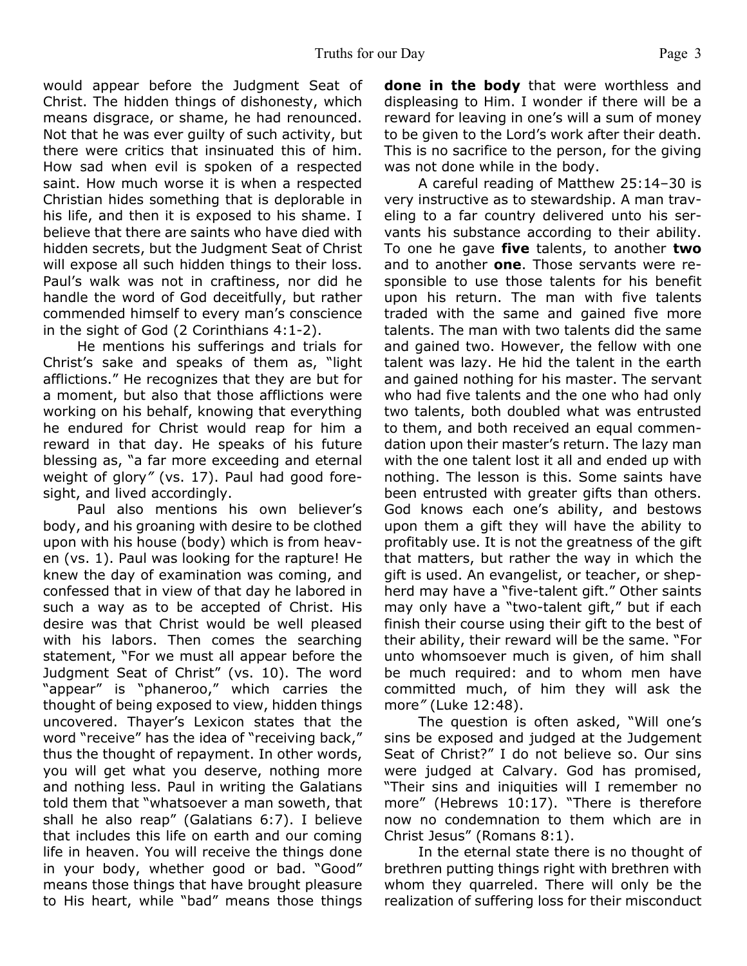would appear before the Judgment Seat of Christ. The hidden things of dishonesty, which means disgrace, or shame, he had renounced. Not that he was ever guilty of such activity, but there were critics that insinuated this of him. How sad when evil is spoken of a respected saint. How much worse it is when a respected Christian hides something that is deplorable in his life, and then it is exposed to his shame. I believe that there are saints who have died with hidden secrets, but the Judgment Seat of Christ will expose all such hidden things to their loss. Paul's walk was not in craftiness, nor did he handle the word of God deceitfully, but rather commended himself to every man's conscience in the sight of God (2 Corinthians 4:1-2).

 He mentions his sufferings and trials for Christ's sake and speaks of them as, "light afflictions." He recognizes that they are but for a moment, but also that those afflictions were working on his behalf, knowing that everything he endured for Christ would reap for him a reward in that day. He speaks of his future blessing as, "a far more exceeding and eternal weight of glory*"* (vs. 17). Paul had good foresight, and lived accordingly.

 Paul also mentions his own believer's body, and his groaning with desire to be clothed upon with his house (body) which is from heaven (vs. 1). Paul was looking for the rapture! He knew the day of examination was coming, and confessed that in view of that day he labored in such a way as to be accepted of Christ. His desire was that Christ would be well pleased with his labors. Then comes the searching statement, "For we must all appear before the Judgment Seat of Christ" (vs. 10). The word "appear" is "phaneroo," which carries the thought of being exposed to view, hidden things uncovered. Thayer's Lexicon states that the word "receive" has the idea of "receiving back," thus the thought of repayment. In other words, you will get what you deserve, nothing more and nothing less. Paul in writing the Galatians told them that "whatsoever a man soweth, that shall he also reap" (Galatians 6:7). I believe that includes this life on earth and our coming life in heaven. You will receive the things done in your body, whether good or bad. "Good" means those things that have brought pleasure to His heart, while "bad" means those things **done in the body** that were worthless and displeasing to Him. I wonder if there will be a reward for leaving in one's will a sum of money to be given to the Lord's work after their death. This is no sacrifice to the person, for the giving was not done while in the body.

 A careful reading of Matthew 25:14–30 is very instructive as to stewardship. A man traveling to a far country delivered unto his servants his substance according to their ability. To one he gave **five** talents, to another **two** and to another **one**. Those servants were responsible to use those talents for his benefit upon his return. The man with five talents traded with the same and gained five more talents. The man with two talents did the same and gained two. However, the fellow with one talent was lazy. He hid the talent in the earth and gained nothing for his master. The servant who had five talents and the one who had only two talents, both doubled what was entrusted to them, and both received an equal commendation upon their master's return. The lazy man with the one talent lost it all and ended up with nothing. The lesson is this. Some saints have been entrusted with greater gifts than others. God knows each one's ability, and bestows upon them a gift they will have the ability to profitably use. It is not the greatness of the gift that matters, but rather the way in which the gift is used. An evangelist, or teacher, or shepherd may have a "five-talent gift." Other saints may only have a "two-talent gift," but if each finish their course using their gift to the best of their ability, their reward will be the same. "For unto whomsoever much is given, of him shall be much required: and to whom men have committed much, of him they will ask the more*"* (Luke 12:48).

 The question is often asked, "Will one's sins be exposed and judged at the Judgement Seat of Christ?" I do not believe so. Our sins were judged at Calvary. God has promised, "Their sins and iniquities will I remember no more" (Hebrews 10:17). "There is therefore now no condemnation to them which are in Christ Jesus" (Romans 8:1).

 In the eternal state there is no thought of brethren putting things right with brethren with whom they quarreled. There will only be the realization of suffering loss for their misconduct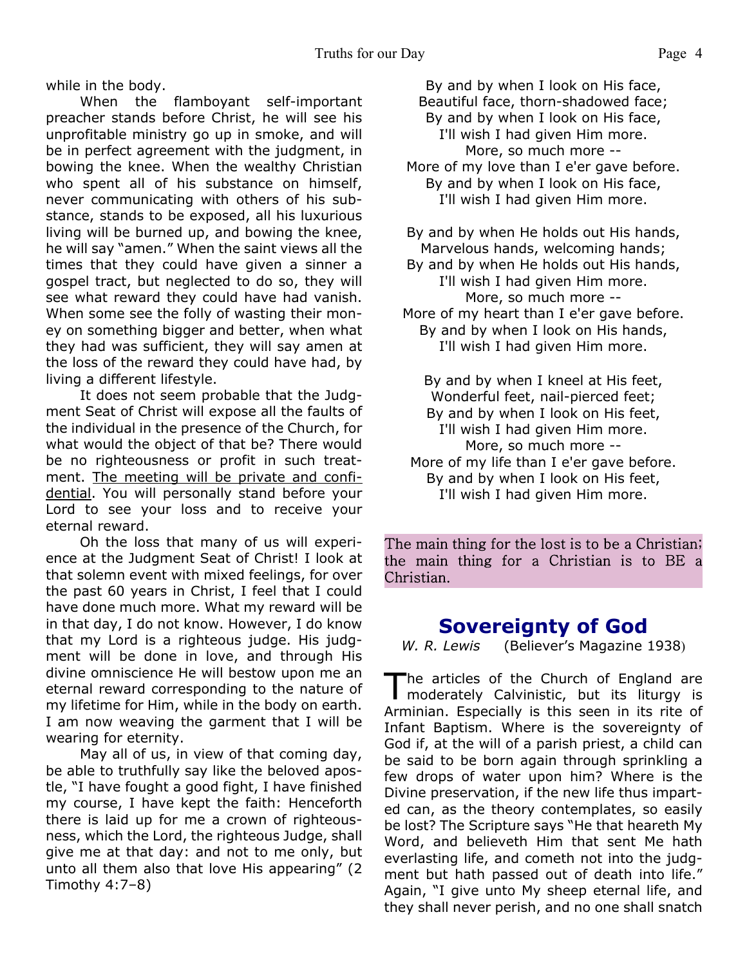while in the body.

 When the flamboyant self-important preacher stands before Christ, he will see his unprofitable ministry go up in smoke, and will be in perfect agreement with the judgment, in bowing the knee. When the wealthy Christian who spent all of his substance on himself, never communicating with others of his substance, stands to be exposed, all his luxurious living will be burned up, and bowing the knee, he will say "amen." When the saint views all the times that they could have given a sinner a gospel tract, but neglected to do so, they will see what reward they could have had vanish. When some see the folly of wasting their money on something bigger and better, when what they had was sufficient, they will say amen at the loss of the reward they could have had, by living a different lifestyle.

 It does not seem probable that the Judgment Seat of Christ will expose all the faults of the individual in the presence of the Church, for what would the object of that be? There would be no righteousness or profit in such treatment. The meeting will be private and confidential. You will personally stand before your Lord to see your loss and to receive your eternal reward.

 Oh the loss that many of us will experience at the Judgment Seat of Christ! I look at that solemn event with mixed feelings, for over the past 60 years in Christ, I feel that I could have done much more. What my reward will be in that day, I do not know. However, I do know that my Lord is a righteous judge. His judgment will be done in love, and through His divine omniscience He will bestow upon me an eternal reward corresponding to the nature of my lifetime for Him, while in the body on earth. I am now weaving the garment that I will be wearing for eternity.

 May all of us, in view of that coming day, be able to truthfully say like the beloved apostle, "I have fought a good fight, I have finished my course, I have kept the faith: Henceforth there is laid up for me a crown of righteousness, which the Lord, the righteous Judge, shall give me at that day: and not to me only, but unto all them also that love His appearing" (2 Timothy 4:7–8)

By and by when I look on His face, Beautiful face, thorn-shadowed face; By and by when I look on His face, I'll wish I had given Him more. More, so much more -- More of my love than I e'er gave before. By and by when I look on His face, I'll wish I had given Him more.

By and by when He holds out His hands, Marvelous hands, welcoming hands; By and by when He holds out His hands, I'll wish I had given Him more. More, so much more -- More of my heart than I e'er gave before. By and by when I look on His hands,

I'll wish I had given Him more.

By and by when I kneel at His feet, Wonderful feet, nail-pierced feet; By and by when I look on His feet, I'll wish I had given Him more. More, so much more -- More of my life than I e'er gave before. By and by when I look on His feet, I'll wish I had given Him more.

The main thing for the lost is to be a Christian; the main thing for a Christian is to BE a Christian.

# **Sovereignty of God**

*W. R. Lewis* (Believer's Magazine 1938)

 $\overline{\mathbf{I}}$ he articles of the Church of England are moderately Calvinistic, but its liturgy is Arminian. Especially is this seen in its rite of Infant Baptism. Where is the sovereignty of God if, at the will of a parish priest, a child can be said to be born again through sprinkling a few drops of water upon him? Where is the Divine preservation, if the new life thus imparted can, as the theory contemplates, so easily be lost? The Scripture says "He that heareth My Word, and believeth Him that sent Me hath everlasting life, and cometh not into the judgment but hath passed out of death into life." Again, "I give unto My sheep eternal life, and they shall never perish, and no one shall snatch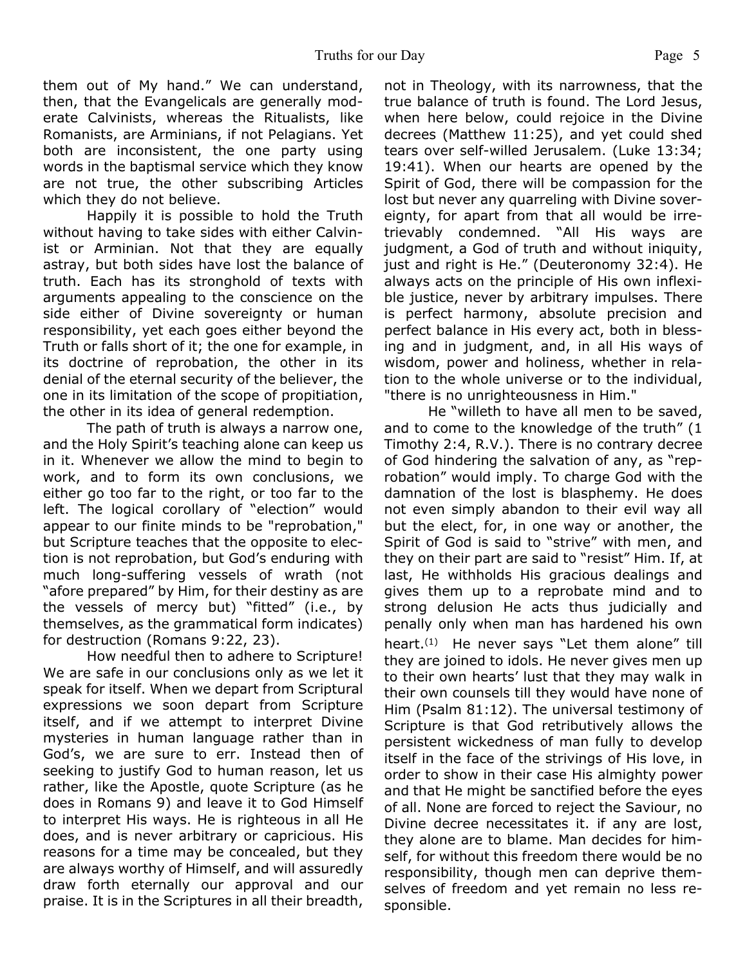them out of My hand." We can understand, then, that the Evangelicals are generally moderate Calvinists, whereas the Ritualists, like Romanists, are Arminians, if not Pelagians. Yet both are inconsistent, the one party using words in the baptismal service which they know are not true, the other subscribing Articles which they do not believe.

 Happily it is possible to hold the Truth without having to take sides with either Calvinist or Arminian. Not that they are equally astray, but both sides have lost the balance of truth. Each has its stronghold of texts with arguments appealing to the conscience on the side either of Divine sovereignty or human responsibility, yet each goes either beyond the Truth or falls short of it; the one for example, in its doctrine of reprobation, the other in its denial of the eternal security of the believer, the one in its limitation of the scope of propitiation, the other in its idea of general redemption.

 The path of truth is always a narrow one, and the Holy Spirit's teaching alone can keep us in it. Whenever we allow the mind to begin to work, and to form its own conclusions, we either go too far to the right, or too far to the left. The logical corollary of "election" would appear to our finite minds to be "reprobation," but Scripture teaches that the opposite to election is not reprobation, but God's enduring with much long-suffering vessels of wrath (not "afore prepared" by Him, for their destiny as are the vessels of mercy but) "fitted" (i.e., by themselves, as the grammatical form indicates) for destruction (Romans 9:22, 23).

 How needful then to adhere to Scripture! We are safe in our conclusions only as we let it speak for itself. When we depart from Scriptural expressions we soon depart from Scripture itself, and if we attempt to interpret Divine mysteries in human language rather than in God's, we are sure to err. Instead then of seeking to justify God to human reason, let us rather, like the Apostle, quote Scripture (as he does in Romans 9) and leave it to God Himself to interpret His ways. He is righteous in all He does, and is never arbitrary or capricious. His reasons for a time may be concealed, but they are always worthy of Himself, and will assuredly draw forth eternally our approval and our praise. It is in the Scriptures in all their breadth,

not in Theology, with its narrowness, that the true balance of truth is found. The Lord Jesus, when here below, could rejoice in the Divine decrees (Matthew 11:25), and yet could shed tears over self-willed Jerusalem. (Luke 13:34; 19:41). When our hearts are opened by the Spirit of God, there will be compassion for the lost but never any quarreling with Divine sovereignty, for apart from that all would be irretrievably condemned. "All His ways are judgment, a God of truth and without iniquity, just and right is He." (Deuteronomy 32:4). He always acts on the principle of His own inflexible justice, never by arbitrary impulses. There is perfect harmony, absolute precision and perfect balance in His every act, both in blessing and in judgment, and, in all His ways of wisdom, power and holiness, whether in relation to the whole universe or to the individual, "there is no unrighteousness in Him."

 He "willeth to have all men to be saved, and to come to the knowledge of the truth" (1 Timothy 2:4, R.V.). There is no contrary decree of God hindering the salvation of any, as "reprobation" would imply. To charge God with the damnation of the lost is blasphemy. He does not even simply abandon to their evil way all but the elect, for, in one way or another, the Spirit of God is said to "strive" with men, and they on their part are said to "resist" Him. If, at last, He withholds His gracious dealings and gives them up to a reprobate mind and to strong delusion He acts thus judicially and penally only when man has hardened his own heart.(1) He never says "Let them alone" till they are joined to idols. He never gives men up to their own hearts' lust that they may walk in their own counsels till they would have none of Him (Psalm 81:12). The universal testimony of Scripture is that God retributively allows the persistent wickedness of man fully to develop itself in the face of the strivings of His love, in order to show in their case His almighty power and that He might be sanctified before the eyes of all. None are forced to reject the Saviour, no Divine decree necessitates it. if any are lost, they alone are to blame. Man decides for himself, for without this freedom there would be no responsibility, though men can deprive themselves of freedom and yet remain no less responsible.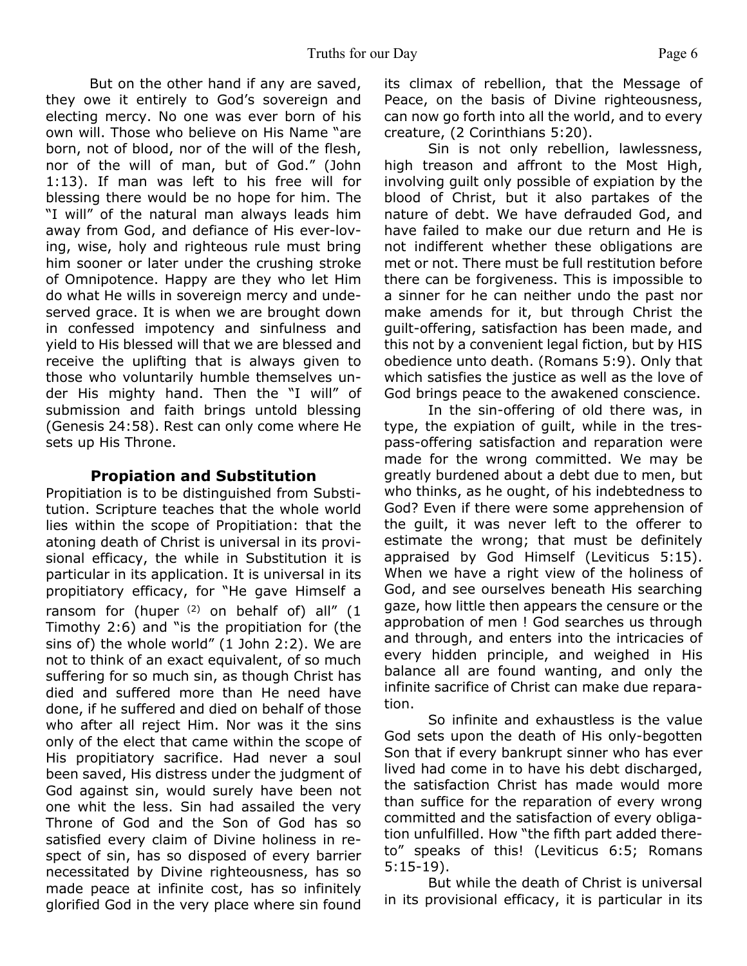But on the other hand if any are saved, they owe it entirely to God's sovereign and electing mercy. No one was ever born of his own will. Those who believe on His Name "are born, not of blood, nor of the will of the flesh, nor of the will of man, but of God." (John 1:13). If man was left to his free will for blessing there would be no hope for him. The "I will" of the natural man always leads him away from God, and defiance of His ever-loving, wise, holy and righteous rule must bring him sooner or later under the crushing stroke of Omnipotence. Happy are they who let Him do what He wills in sovereign mercy and undeserved grace. It is when we are brought down in confessed impotency and sinfulness and yield to His blessed will that we are blessed and receive the uplifting that is always given to those who voluntarily humble themselves under His mighty hand. Then the "I will" of submission and faith brings untold blessing (Genesis 24:58). Rest can only come where He sets up His Throne.

#### **Propiation and Substitution**

Propitiation is to be distinguished from Substitution. Scripture teaches that the whole world lies within the scope of Propitiation: that the atoning death of Christ is universal in its provisional efficacy, the while in Substitution it is particular in its application. It is universal in its propitiatory efficacy, for "He gave Himself a ransom for (huper  $(2)$  on behalf of) all"  $(1)$ Timothy 2:6) and "is the propitiation for (the sins of) the whole world" (1 John 2:2). We are not to think of an exact equivalent, of so much suffering for so much sin, as though Christ has died and suffered more than He need have done, if he suffered and died on behalf of those who after all reject Him. Nor was it the sins only of the elect that came within the scope of His propitiatory sacrifice. Had never a soul been saved, His distress under the judgment of God against sin, would surely have been not one whit the less. Sin had assailed the very Throne of God and the Son of God has so satisfied every claim of Divine holiness in respect of sin, has so disposed of every barrier necessitated by Divine righteousness, has so made peace at infinite cost, has so infinitely glorified God in the very place where sin found its climax of rebellion, that the Message of Peace, on the basis of Divine righteousness, can now go forth into all the world, and to every creature, (2 Corinthians 5:20).

 Sin is not only rebellion, lawlessness, high treason and affront to the Most High, involving guilt only possible of expiation by the blood of Christ, but it also partakes of the nature of debt. We have defrauded God, and have failed to make our due return and He is not indifferent whether these obligations are met or not. There must be full restitution before there can be forgiveness. This is impossible to a sinner for he can neither undo the past nor make amends for it, but through Christ the guilt-offering, satisfaction has been made, and this not by a convenient legal fiction, but by HIS obedience unto death. (Romans 5:9). Only that which satisfies the justice as well as the love of God brings peace to the awakened conscience.

 In the sin-offering of old there was, in type, the expiation of guilt, while in the trespass-offering satisfaction and reparation were made for the wrong committed. We may be greatly burdened about a debt due to men, but who thinks, as he ought, of his indebtedness to God? Even if there were some apprehension of the guilt, it was never left to the offerer to estimate the wrong; that must be definitely appraised by God Himself (Leviticus 5:15). When we have a right view of the holiness of God, and see ourselves beneath His searching gaze, how little then appears the censure or the approbation of men ! God searches us through and through, and enters into the intricacies of every hidden principle, and weighed in His balance all are found wanting, and only the infinite sacrifice of Christ can make due reparation.

 So infinite and exhaustless is the value God sets upon the death of His only-begotten Son that if every bankrupt sinner who has ever lived had come in to have his debt discharged, the satisfaction Christ has made would more than suffice for the reparation of every wrong committed and the satisfaction of every obligation unfulfilled. How "the fifth part added thereto" speaks of this! (Leviticus 6:5; Romans 5:15-19).

 But while the death of Christ is universal in its provisional efficacy, it is particular in its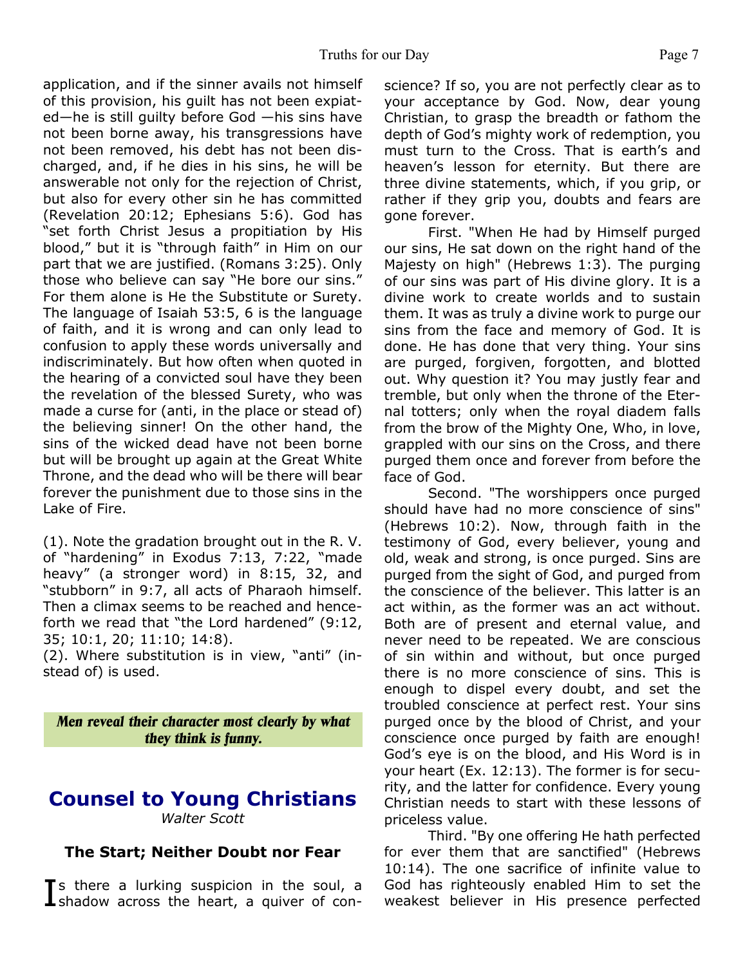application, and if the sinner avails not himself of this provision, his guilt has not been expiated—he is still guilty before God —his sins have not been borne away, his transgressions have not been removed, his debt has not been discharged, and, if he dies in his sins, he will be answerable not only for the rejection of Christ, but also for every other sin he has committed (Revelation 20:12; Ephesians 5:6). God has "set forth Christ Jesus a propitiation by His blood," but it is "through faith" in Him on our part that we are justified. (Romans 3:25). Only those who believe can say "He bore our sins." For them alone is He the Substitute or Surety. The language of Isaiah 53:5, 6 is the language of faith, and it is wrong and can only lead to confusion to apply these words universally and indiscriminately. But how often when quoted in the hearing of a convicted soul have they been the revelation of the blessed Surety, who was made a curse for (anti, in the place or stead of) the believing sinner! On the other hand, the sins of the wicked dead have not been borne but will be brought up again at the Great White Throne, and the dead who will be there will bear forever the punishment due to those sins in the Lake of Fire.

(1). Note the gradation brought out in the R. V. of "hardening" in Exodus 7:13, 7:22, "made heavy" (a stronger word) in 8:15, 32, and "stubborn" in 9:7, all acts of Pharaoh himself. Then a climax seems to be reached and henceforth we read that "the Lord hardened" (9:12, 35; 10:1, 20; 11:10; 14:8).

(2). Where substitution is in view, "anti" (instead of) is used.

*Men reveal their character most clearly by what they think is funny.*

## **Counsel to Young Christians** *Walter Scott*

### **The Start; Neither Doubt nor Fear**

Is there a lurking suspicion in the soul, a<br>Ishadow across the heart, a quiver of con-**T**s there a lurking suspicion in the soul, a science? If so, you are not perfectly clear as to your acceptance by God. Now, dear young Christian, to grasp the breadth or fathom the depth of God's mighty work of redemption, you must turn to the Cross. That is earth's and heaven's lesson for eternity. But there are three divine statements, which, if you grip, or rather if they grip you, doubts and fears are gone forever.

 First. "When He had by Himself purged our sins, He sat down on the right hand of the Majesty on high" (Hebrews 1:3). The purging of our sins was part of His divine glory. It is a divine work to create worlds and to sustain them. It was as truly a divine work to purge our sins from the face and memory of God. It is done. He has done that very thing. Your sins are purged, forgiven, forgotten, and blotted out. Why question it? You may justly fear and tremble, but only when the throne of the Eternal totters; only when the royal diadem falls from the brow of the Mighty One, Who, in love, grappled with our sins on the Cross, and there purged them once and forever from before the face of God.

 Second. "The worshippers once purged should have had no more conscience of sins" (Hebrews 10:2). Now, through faith in the testimony of God, every believer, young and old, weak and strong, is once purged. Sins are purged from the sight of God, and purged from the conscience of the believer. This latter is an act within, as the former was an act without. Both are of present and eternal value, and never need to be repeated. We are conscious of sin within and without, but once purged there is no more conscience of sins. This is enough to dispel every doubt, and set the troubled conscience at perfect rest. Your sins purged once by the blood of Christ, and your conscience once purged by faith are enough! God's eye is on the blood, and His Word is in your heart (Ex. 12:13). The former is for security, and the latter for confidence. Every young Christian needs to start with these lessons of priceless value.

 Third. "By one offering He hath perfected for ever them that are sanctified" (Hebrews 10:14). The one sacrifice of infinite value to God has righteously enabled Him to set the weakest believer in His presence perfected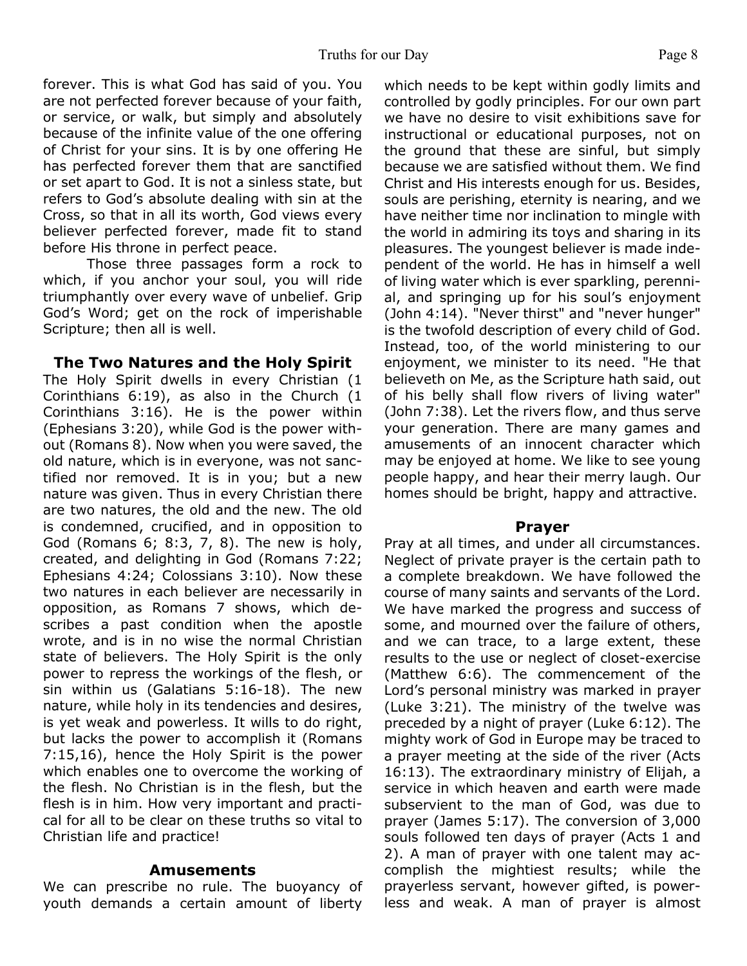forever. This is what God has said of you. You are not perfected forever because of your faith, or service, or walk, but simply and absolutely because of the infinite value of the one offering of Christ for your sins. It is by one offering He has perfected forever them that are sanctified or set apart to God. It is not a sinless state, but refers to God's absolute dealing with sin at the Cross, so that in all its worth, God views every believer perfected forever, made fit to stand before His throne in perfect peace.

 Those three passages form a rock to which, if you anchor your soul, you will ride triumphantly over every wave of unbelief. Grip God's Word; get on the rock of imperishable Scripture; then all is well.

#### **The Two Natures and the Holy Spirit**

The Holy Spirit dwells in every Christian (1 Corinthians 6:19), as also in the Church (1 Corinthians 3:16). He is the power within (Ephesians 3:20), while God is the power without (Romans 8). Now when you were saved, the old nature, which is in everyone, was not sanctified nor removed. It is in you; but a new nature was given. Thus in every Christian there are two natures, the old and the new. The old is condemned, crucified, and in opposition to God (Romans 6; 8:3, 7, 8). The new is holy, created, and delighting in God (Romans 7:22; Ephesians 4:24; Colossians 3:10). Now these two natures in each believer are necessarily in opposition, as Romans 7 shows, which describes a past condition when the apostle wrote, and is in no wise the normal Christian state of believers. The Holy Spirit is the only power to repress the workings of the flesh, or sin within us (Galatians 5:16-18). The new nature, while holy in its tendencies and desires, is yet weak and powerless. It wills to do right, but lacks the power to accomplish it (Romans 7:15,16), hence the Holy Spirit is the power which enables one to overcome the working of the flesh. No Christian is in the flesh, but the flesh is in him. How very important and practical for all to be clear on these truths so vital to Christian life and practice!

#### **Amusements**

We can prescribe no rule. The buoyancy of youth demands a certain amount of liberty which needs to be kept within godly limits and controlled by godly principles. For our own part we have no desire to visit exhibitions save for instructional or educational purposes, not on the ground that these are sinful, but simply because we are satisfied without them. We find Christ and His interests enough for us. Besides, souls are perishing, eternity is nearing, and we have neither time nor inclination to mingle with the world in admiring its toys and sharing in its pleasures. The youngest believer is made independent of the world. He has in himself a well of living water which is ever sparkling, perennial, and springing up for his soul's enjoyment (John 4:14). "Never thirst" and "never hunger" is the twofold description of every child of God. Instead, too, of the world ministering to our enjoyment, we minister to its need. "He that believeth on Me, as the Scripture hath said, out of his belly shall flow rivers of living water" (John 7:38). Let the rivers flow, and thus serve your generation. There are many games and amusements of an innocent character which may be enjoyed at home. We like to see young people happy, and hear their merry laugh. Our homes should be bright, happy and attractive.

#### **Prayer**

Pray at all times, and under all circumstances. Neglect of private prayer is the certain path to a complete breakdown. We have followed the course of many saints and servants of the Lord. We have marked the progress and success of some, and mourned over the failure of others, and we can trace, to a large extent, these results to the use or neglect of closet-exercise (Matthew 6:6). The commencement of the Lord's personal ministry was marked in prayer (Luke 3:21). The ministry of the twelve was preceded by a night of prayer (Luke 6:12). The mighty work of God in Europe may be traced to a prayer meeting at the side of the river (Acts 16:13). The extraordinary ministry of Elijah, a service in which heaven and earth were made subservient to the man of God, was due to prayer (James 5:17). The conversion of 3,000 souls followed ten days of prayer (Acts 1 and 2). A man of prayer with one talent may accomplish the mightiest results; while the prayerless servant, however gifted, is powerless and weak. A man of prayer is almost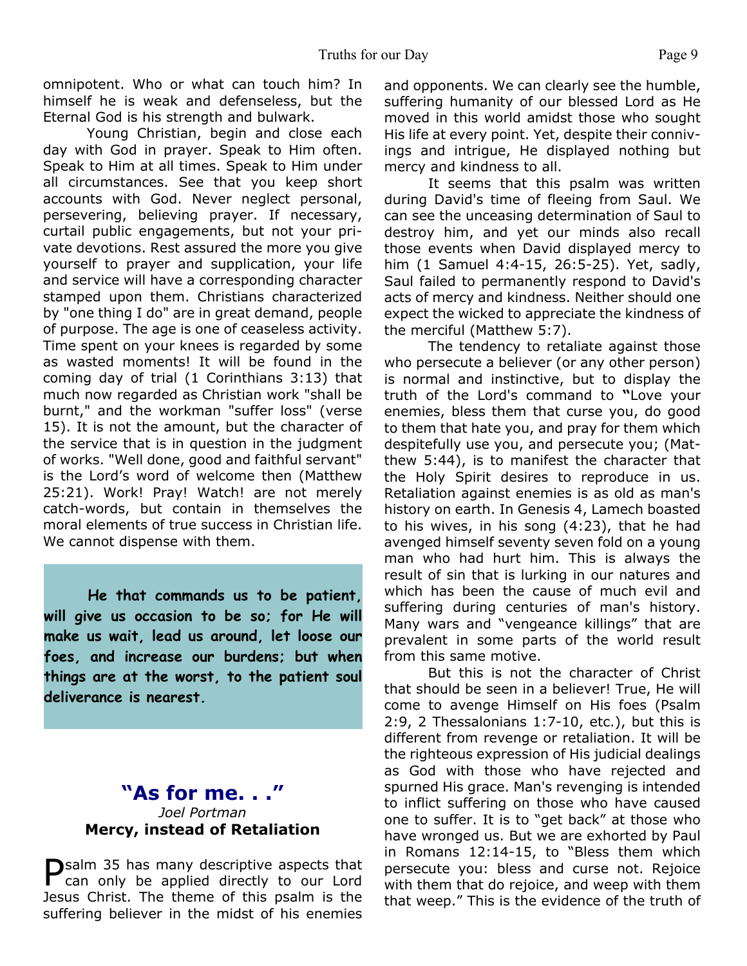omnipotent. Who or what can touch him? In himself he is weak and defenseless, but the Eternal God is his strength and bulwark.

 Young Christian, begin and close each day with God in prayer. Speak to Him often. Speak to Him at all times. Speak to Him under all circumstances. See that you keep short accounts with God. Never neglect personal, persevering, believing prayer. If necessary, curtail public engagements, but not your private devotions. Rest assured the more you give yourself to prayer and supplication, your life and service will have a corresponding character stamped upon them. Christians characterized by "one thing I do" are in great demand, people of purpose. The age is one of ceaseless activity. Time spent on your knees is regarded by some as wasted moments! It will be found in the coming day of trial (1 Corinthians 3:13) that much now regarded as Christian work "shall be burnt," and the workman "suffer loss" (verse 15). It is not the amount, but the character of the service that is in question in the judgment of works. "Well done, good and faithful servant" is the Lord's word of welcome then (Matthew 25:21). Work! Pray! Watch! are not merely catch-words, but contain in themselves the moral elements of true success in Christian life. We cannot dispense with them.

**He that commands us to be patient, will give us occasion to be so; for He will make us wait, lead us around, let loose our foes, and increase our burdens; but when things are at the worst, to the patient soul deliverance is nearest.**

### **"As for me. . .** *Joel Portman* **Mercy, instead of Retaliation**

**P** salm 35 has many descriptive aspects that<br>can only be applied directly to our Lord  $\bigcap$  salm 35 has many descriptive aspects that Jesus Christ. The theme of this psalm is the suffering believer in the midst of his enemies and opponents. We can clearly see the humble, suffering humanity of our blessed Lord as He moved in this world amidst those who sought His life at every point. Yet, despite their connivings and intrigue, He displayed nothing but mercy and kindness to all.

 It seems that this psalm was written during David's time of fleeing from Saul. We can see the unceasing determination of Saul to destroy him, and yet our minds also recall those events when David displayed mercy to him (1 Samuel 4:4-15, 26:5-25). Yet, sadly, Saul failed to permanently respond to David's acts of mercy and kindness. Neither should one expect the wicked to appreciate the kindness of the merciful (Matthew 5:7).

 The tendency to retaliate against those who persecute a believer (or any other person) is normal and instinctive, but to display the truth of the Lord's command to **"**Love your enemies, bless them that curse you, do good to them that hate you, and pray for them which despitefully use you, and persecute you; (Matthew 5:44), is to manifest the character that the Holy Spirit desires to reproduce in us. Retaliation against enemies is as old as man's history on earth. In Genesis 4, Lamech boasted to his wives, in his song (4:23), that he had avenged himself seventy seven fold on a young man who had hurt him. This is always the result of sin that is lurking in our natures and which has been the cause of much evil and suffering during centuries of man's history. Many wars and "vengeance killings" that are prevalent in some parts of the world result from this same motive.

 But this is not the character of Christ that should be seen in a believer! True, He will come to avenge Himself on His foes (Psalm 2:9, 2 Thessalonians 1:7-10, etc.), but this is different from revenge or retaliation. It will be the righteous expression of His judicial dealings as God with those who have rejected and spurned His grace. Man's revenging is intended to inflict suffering on those who have caused one to suffer. It is to "get back" at those who have wronged us. But we are exhorted by Paul in Romans 12:14-15, to "Bless them which persecute you: bless and curse not. Rejoice with them that do rejoice, and weep with them that weep." This is the evidence of the truth of